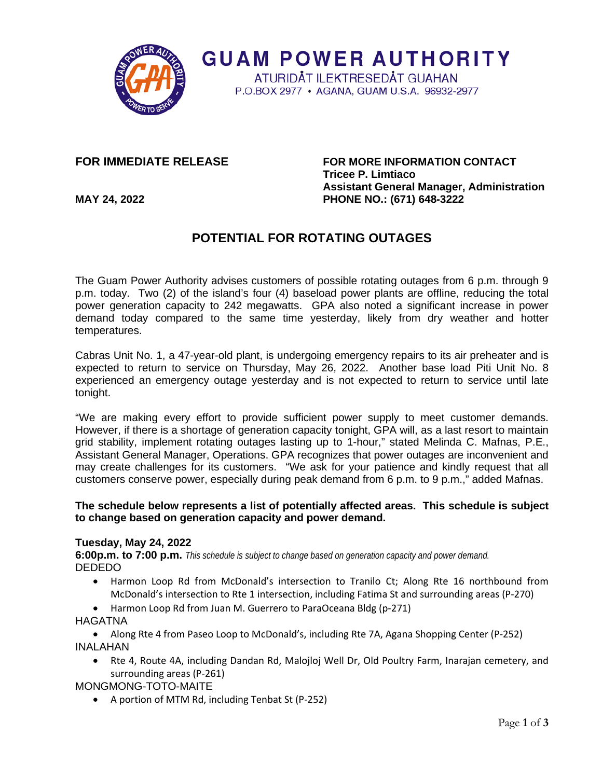

**FOR IMMEDIATE RELEASE FOR MORE INFORMATION CONTACT Tricee P. Limtiaco Assistant General Manager, Administration MAY 24, 2022 PHONE NO.: (671) 648-3222**

# **POTENTIAL FOR ROTATING OUTAGES**

**GUAM POWER AUTHORITY** ATURIDÂT ILEKTRESEDÂT GUAHAN P.O.BOX 2977 • AGANA, GUAM U.S.A. 96932-2977

The Guam Power Authority advises customers of possible rotating outages from 6 p.m. through 9 p.m. today. Two (2) of the island's four (4) baseload power plants are offline, reducing the total power generation capacity to 242 megawatts. GPA also noted a significant increase in power demand today compared to the same time yesterday, likely from dry weather and hotter temperatures.

Cabras Unit No. 1, a 47-year-old plant, is undergoing emergency repairs to its air preheater and is expected to return to service on Thursday, May 26, 2022. Another base load Piti Unit No. 8 experienced an emergency outage yesterday and is not expected to return to service until late tonight.

"We are making every effort to provide sufficient power supply to meet customer demands. However, if there is a shortage of generation capacity tonight, GPA will, as a last resort to maintain grid stability, implement rotating outages lasting up to 1-hour," stated Melinda C. Mafnas, P.E., Assistant General Manager, Operations. GPA recognizes that power outages are inconvenient and may create challenges for its customers. "We ask for your patience and kindly request that all customers conserve power, especially during peak demand from 6 p.m. to 9 p.m.," added Mafnas.

#### **The schedule below represents a list of potentially affected areas. This schedule is subject to change based on generation capacity and power demand.**

#### **Tuesday, May 24, 2022**

**6:00p.m. to 7:00 p.m.** *This schedule is subject to change based on generation capacity and power demand.*  DEDEDO

- Harmon Loop Rd from McDonald's intersection to Tranilo Ct; Along Rte 16 northbound from McDonald's intersection to Rte 1 intersection, including Fatima St and surrounding areas (P-270)
- Harmon Loop Rd from Juan M. Guerrero to ParaOceana Bldg (p-271)

#### HAGATNA

• Along Rte 4 from Paseo Loop to McDonald's, including Rte 7A, Agana Shopping Center (P-252) INALAHAN

• Rte 4, Route 4A, including Dandan Rd, Malojloj Well Dr, Old Poultry Farm, Inarajan cemetery, and surrounding areas (P-261)

MONGMONG-TOTO-MAITE

• A portion of MTM Rd, including Tenbat St (P-252)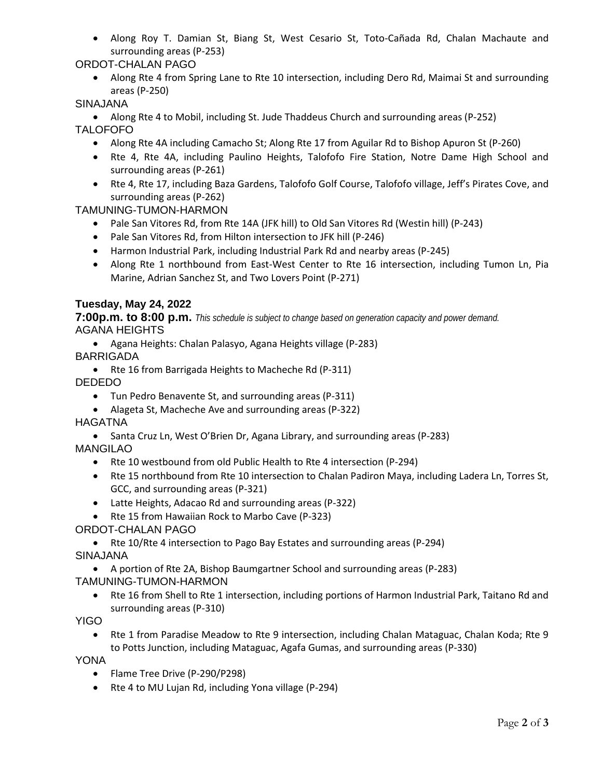• Along Roy T. Damian St, Biang St, West Cesario St, Toto-Cañada Rd, Chalan Machaute and surrounding areas (P-253)

ORDOT-CHALAN PAGO

• Along Rte 4 from Spring Lane to Rte 10 intersection, including Dero Rd, Maimai St and surrounding areas (P-250)

SINAJANA

• Along Rte 4 to Mobil, including St. Jude Thaddeus Church and surrounding areas (P-252) **TALOFOFO** 

- Along Rte 4A including Camacho St; Along Rte 17 from Aguilar Rd to Bishop Apuron St (P-260)
- Rte 4, Rte 4A, including Paulino Heights, Talofofo Fire Station, Notre Dame High School and surrounding areas (P-261)
- Rte 4, Rte 17, including Baza Gardens, Talofofo Golf Course, Talofofo village, Jeff's Pirates Cove, and surrounding areas (P-262)

## TAMUNING-TUMON-HARMON

- Pale San Vitores Rd, from Rte 14A (JFK hill) to Old San Vitores Rd (Westin hill) (P-243)
- Pale San Vitores Rd, from Hilton intersection to JFK hill (P-246)
- Harmon Industrial Park, including Industrial Park Rd and nearby areas (P-245)
- Along Rte 1 northbound from East-West Center to Rte 16 intersection, including Tumon Ln, Pia Marine, Adrian Sanchez St, and Two Lovers Point (P-271)

## **Tuesday, May 24, 2022**

**7:00p.m. to 8:00 p.m.** *This schedule is subject to change based on generation capacity and power demand.*  AGANA HEIGHTS

- Agana Heights: Chalan Palasyo, Agana Heights village (P-283) BARRIGADA
- Rte 16 from Barrigada Heights to Macheche Rd (P-311) DEDEDO
	- Tun Pedro Benavente St, and surrounding areas (P-311)
	- Alageta St, Macheche Ave and surrounding areas (P-322)
- HAGATNA

• Santa Cruz Ln, West O'Brien Dr, Agana Library, and surrounding areas (P-283) MANGILAO

- Rte 10 westbound from old Public Health to Rte 4 intersection (P-294)
- Rte 15 northbound from Rte 10 intersection to Chalan Padiron Maya, including Ladera Ln, Torres St, GCC, and surrounding areas (P-321)
- Latte Heights, Adacao Rd and surrounding areas (P-322)
- Rte 15 from Hawaiian Rock to Marbo Cave (P-323)

ORDOT-CHALAN PAGO

• Rte 10/Rte 4 intersection to Pago Bay Estates and surrounding areas (P-294) SINAJANA

- A portion of Rte 2A, Bishop Baumgartner School and surrounding areas (P-283)
- TAMUNING-TUMON-HARMON
	- Rte 16 from Shell to Rte 1 intersection, including portions of Harmon Industrial Park, Taitano Rd and surrounding areas (P-310)

YIGO

• Rte 1 from Paradise Meadow to Rte 9 intersection, including Chalan Mataguac, Chalan Koda; Rte 9 to Potts Junction, including Mataguac, Agafa Gumas, and surrounding areas (P-330)

YONA

- Flame Tree Drive (P-290/P298)
- Rte 4 to MU Lujan Rd, including Yona village (P-294)